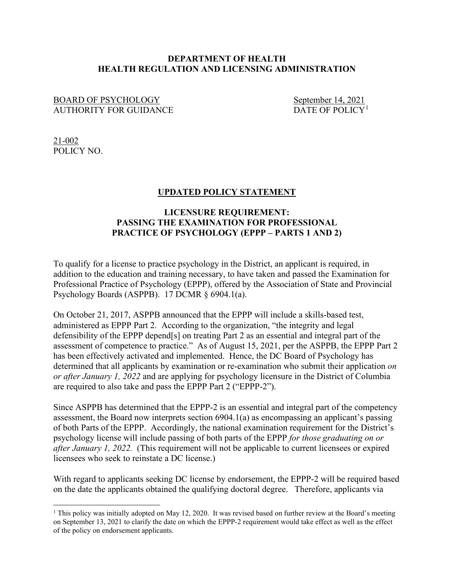## **DEPARTMENT OF HEALTH HEALTH REGULATION AND LICENSING ADMINISTRATION**

## BOARD OF PSYCHOLOGY<br>AUTHORITY FOR GUIDANCE<br>DATE OF POLICY<sup>1</sup> AUTHORITY FOR GUIDANCE

 $21 - 002$ POLICY NO.

## **UPDATED POLICY STATEMENT**

## **LICENSURE REQUIREMENT: PASSING THE EXAMINATION FOR PROFESSIONAL PRACTICE OF PSYCHOLOGY (EPPP – PARTS 1 AND 2)**

To qualify for a license to practice psychology in the District, an applicant is required, in addition to the education and training necessary, to have taken and passed the Examination for Professional Practice of Psychology (EPPP), offered by the Association of State and Provincial Psychology Boards (ASPPB). 17 DCMR § 6904.1(a).

On October 21, 2017, ASPPB announced that the EPPP will include a skills-based test, administered as EPPP Part 2. According to the organization, "the integrity and legal defensibility of the EPPP depend[s] on treating Part 2 as an essential and integral part of the assessment of competence to practice." As of August 15, 2021, per the ASPPB, the EPPP Part 2 has been effectively activated and implemented. Hence, the DC Board of Psychology has determined that all applicants by examination or re-examination who submit their application *on or after January 1, 2022* and are applying for psychology licensure in the District of Columbia are required to also take and pass the EPPP Part 2 ("EPPP-2").

Since ASPPB has determined that the EPPP-2 is an essential and integral part of the competency assessment, the Board now interprets section 6904.1(a) as encompassing an applicant's passing of both Parts of the EPPP. Accordingly, the national examination requirement for the District's psychology license will include passing of both parts of the EPPP *for those graduating on or after January 1, 2022.* (This requirement will not be applicable to current licensees or expired licensees who seek to reinstate a DC license.)

With regard to applicants seeking DC license by endorsement, the EPPP-2 will be required based on the date the applicants obtained the qualifying doctoral degree. Therefore, applicants via

<span id="page-0-0"></span><sup>&</sup>lt;sup>1</sup> This policy was initially adopted on May 12, 2020. It was revised based on further review at the Board's meeting on September 13, 2021 to clarify the date on which the EPPP-2 requirement would take effect as well as the effect of the policy on endorsement applicants.